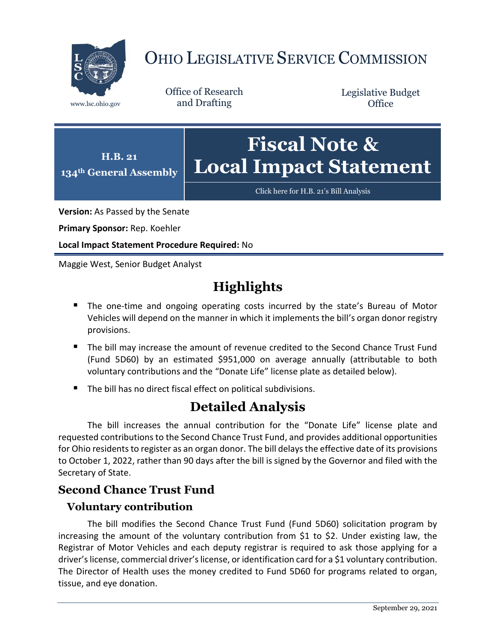

# OHIO LEGISLATIVE SERVICE COMMISSION

Office of Research www.lsc.ohio.gov and Drafting

Legislative Budget **Office** 



[Click here for H.B. 21](https://www.legislature.ohio.gov/legislation/legislation-documents?id=GA134-HB-21)'s Bill Analysis

**Version:** As Passed by the Senate

**Primary Sponsor:** Rep. Koehler

**Local Impact Statement Procedure Required:** No

Maggie West, Senior Budget Analyst

## **Highlights**

- **The one-time and ongoing operating costs incurred by the state's Bureau of Motor** Vehicles will depend on the manner in which it implements the bill's organ donor registry provisions.
- The bill may increase the amount of revenue credited to the Second Chance Trust Fund (Fund 5D60) by an estimated \$951,000 on average annually (attributable to both voluntary contributions and the "Donate Life" license plate as detailed below).
- The bill has no direct fiscal effect on political subdivisions.

## **Detailed Analysis**

The bill increases the annual contribution for the "Donate Life" license plate and requested contributions to the Second Chance Trust Fund, and provides additional opportunities for Ohio residents to register as an organ donor. The bill delays the effective date of its provisions to October 1, 2022, rather than 90 days after the bill is signed by the Governor and filed with the Secretary of State.

### **Second Chance Trust Fund**

#### **Voluntary contribution**

The bill modifies the Second Chance Trust Fund (Fund 5D60) solicitation program by increasing the amount of the voluntary contribution from \$1 to \$2. Under existing law, the Registrar of Motor Vehicles and each deputy registrar is required to ask those applying for a driver's license, commercial driver's license, or identification card for a \$1 voluntary contribution. The Director of Health uses the money credited to Fund 5D60 for programs related to organ, tissue, and eye donation.